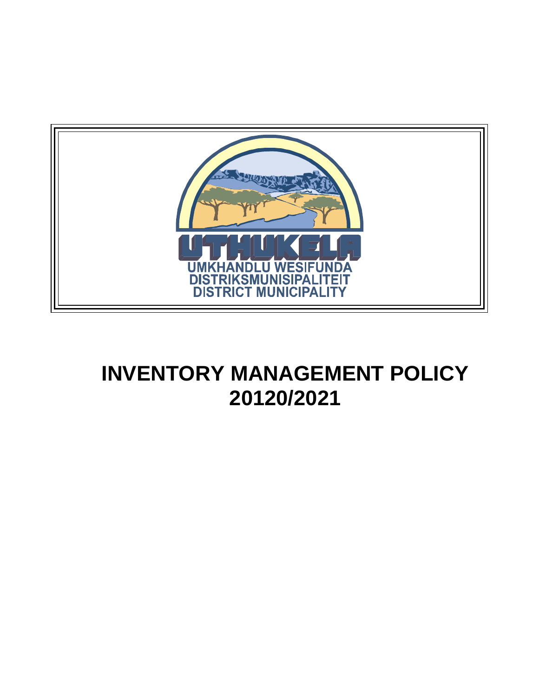

# **INVENTORY MANAGEMENT POLICY 20120/2021**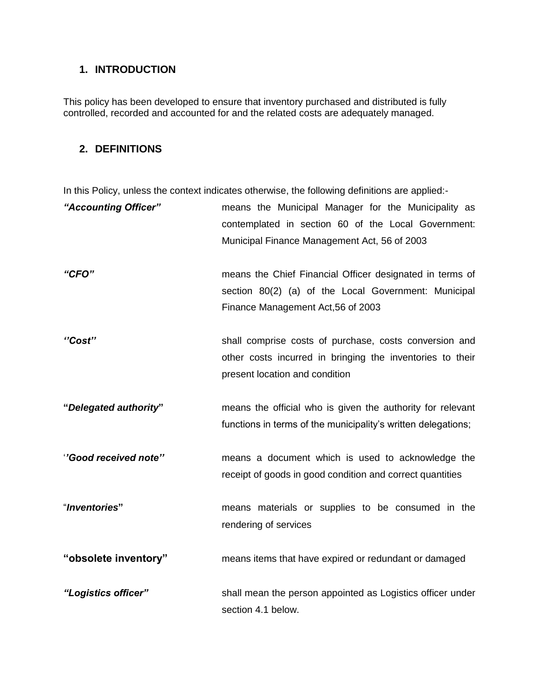## **1. INTRODUCTION**

This policy has been developed to ensure that inventory purchased and distributed is fully controlled, recorded and accounted for and the related costs are adequately managed.

# **2. DEFINITIONS**

In this Policy, unless the context indicates otherwise, the following definitions are applied:-

| "Accounting Officer"  | means the Municipal Manager for the Municipality as<br>contemplated in section 60 of the Local Government:<br>Municipal Finance Management Act, 56 of 2003 |
|-----------------------|------------------------------------------------------------------------------------------------------------------------------------------------------------|
| "CFO"                 | means the Chief Financial Officer designated in terms of<br>section 80(2) (a) of the Local Government: Municipal<br>Finance Management Act, 56 of 2003     |
| "Cost"                | shall comprise costs of purchase, costs conversion and<br>other costs incurred in bringing the inventories to their<br>present location and condition      |
| "Delegated authority" | means the official who is given the authority for relevant<br>functions in terms of the municipality's written delegations;                                |
| "Good received note"  | means a document which is used to acknowledge the<br>receipt of goods in good condition and correct quantities                                             |
| "Inventories"         | means materials or supplies to be consumed in the<br>rendering of services                                                                                 |
| "obsolete inventory"  | means items that have expired or redundant or damaged                                                                                                      |
| "Logistics officer"   | shall mean the person appointed as Logistics officer under<br>section 4.1 below.                                                                           |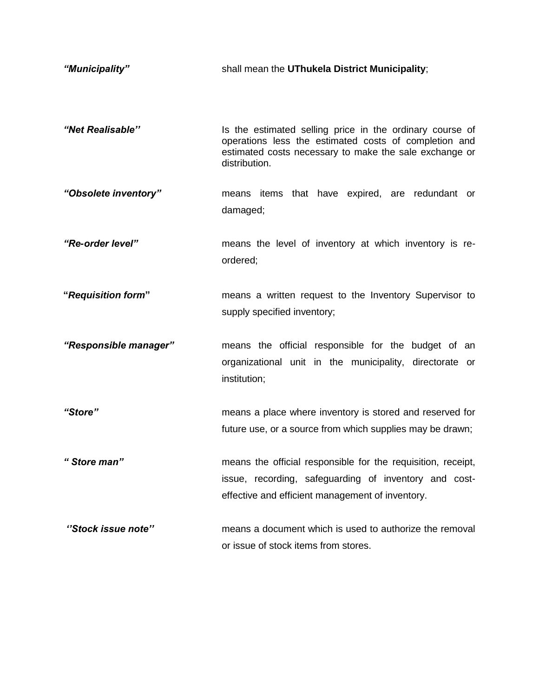| "Municipality"        | shall mean the UThukela District Municipality;                                                                                                                                               |
|-----------------------|----------------------------------------------------------------------------------------------------------------------------------------------------------------------------------------------|
|                       |                                                                                                                                                                                              |
| "Net Realisable"      | Is the estimated selling price in the ordinary course of<br>operations less the estimated costs of completion and<br>estimated costs necessary to make the sale exchange or<br>distribution. |
| "Obsolete inventory"  | means items that have expired, are redundant or<br>damaged;                                                                                                                                  |
| "Re-order level"      | means the level of inventory at which inventory is re-<br>ordered;                                                                                                                           |
| "Requisition form"    | means a written request to the Inventory Supervisor to<br>supply specified inventory;                                                                                                        |
| "Responsible manager" | means the official responsible for the budget of an<br>organizational unit in the municipality, directorate or<br>institution;                                                               |
| "Store"               | means a place where inventory is stored and reserved for<br>future use, or a source from which supplies may be drawn;                                                                        |
| "Store man"           | means the official responsible for the requisition, receipt,<br>issue, recording, safeguarding of inventory and cost-<br>effective and efficient management of inventory.                    |
| "Stock issue note"    | means a document which is used to authorize the removal<br>or issue of stock items from stores.                                                                                              |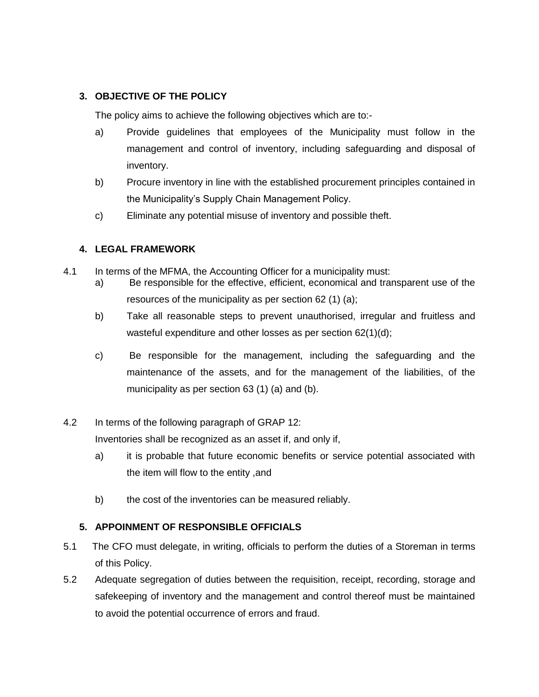## **3. OBJECTIVE OF THE POLICY**

The policy aims to achieve the following objectives which are to:-

- a) Provide guidelines that employees of the Municipality must follow in the management and control of inventory, including safeguarding and disposal of inventory.
- b) Procure inventory in line with the established procurement principles contained in the Municipality's Supply Chain Management Policy.
- c) Eliminate any potential misuse of inventory and possible theft.

## **4. LEGAL FRAMEWORK**

- 4.1 In terms of the MFMA, the Accounting Officer for a municipality must:
	- a) Be responsible for the effective, efficient, economical and transparent use of the resources of the municipality as per section 62 (1) (a);
	- b) Take all reasonable steps to prevent unauthorised, irregular and fruitless and wasteful expenditure and other losses as per section 62(1)(d);
	- c) Be responsible for the management, including the safeguarding and the maintenance of the assets, and for the management of the liabilities, of the municipality as per section 63 (1) (a) and (b).
- 4.2 In terms of the following paragraph of GRAP 12: Inventories shall be recognized as an asset if, and only if,
	- a) it is probable that future economic benefits or service potential associated with the item will flow to the entity ,and
	- b) the cost of the inventories can be measured reliably.

## **5. APPOINMENT OF RESPONSIBLE OFFICIALS**

- 5.1 The CFO must delegate, in writing, officials to perform the duties of a Storeman in terms of this Policy.
- 5.2 Adequate segregation of duties between the requisition, receipt, recording, storage and safekeeping of inventory and the management and control thereof must be maintained to avoid the potential occurrence of errors and fraud.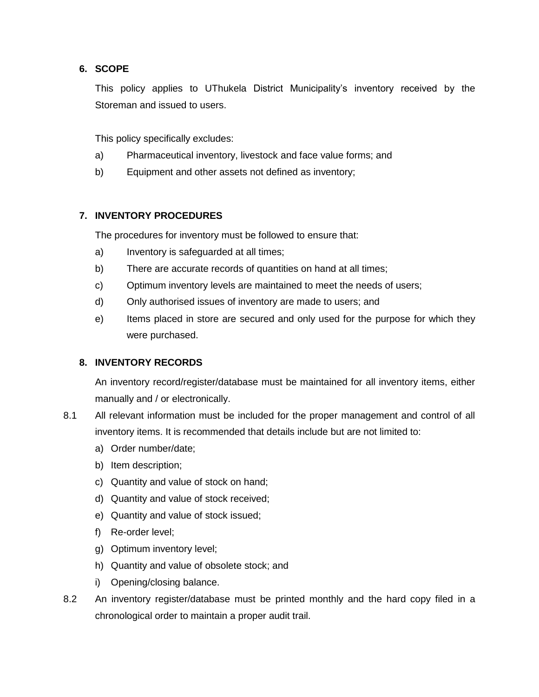### **6. SCOPE**

This policy applies to UThukela District Municipality's inventory received by the Storeman and issued to users.

This policy specifically excludes:

- a) Pharmaceutical inventory, livestock and face value forms; and
- b) Equipment and other assets not defined as inventory;

## **7. INVENTORY PROCEDURES**

The procedures for inventory must be followed to ensure that:

- a) Inventory is safeguarded at all times;
- b) There are accurate records of quantities on hand at all times;
- c) Optimum inventory levels are maintained to meet the needs of users;
- d) Only authorised issues of inventory are made to users; and
- e) Items placed in store are secured and only used for the purpose for which they were purchased.

#### **8. INVENTORY RECORDS**

An inventory record/register/database must be maintained for all inventory items, either manually and / or electronically.

- 8.1 All relevant information must be included for the proper management and control of all inventory items. It is recommended that details include but are not limited to:
	- a) Order number/date;
	- b) Item description;
	- c) Quantity and value of stock on hand;
	- d) Quantity and value of stock received;
	- e) Quantity and value of stock issued;
	- f) Re-order level;
	- g) Optimum inventory level;
	- h) Quantity and value of obsolete stock; and
	- i) Opening/closing balance.
- 8.2 An inventory register/database must be printed monthly and the hard copy filed in a chronological order to maintain a proper audit trail.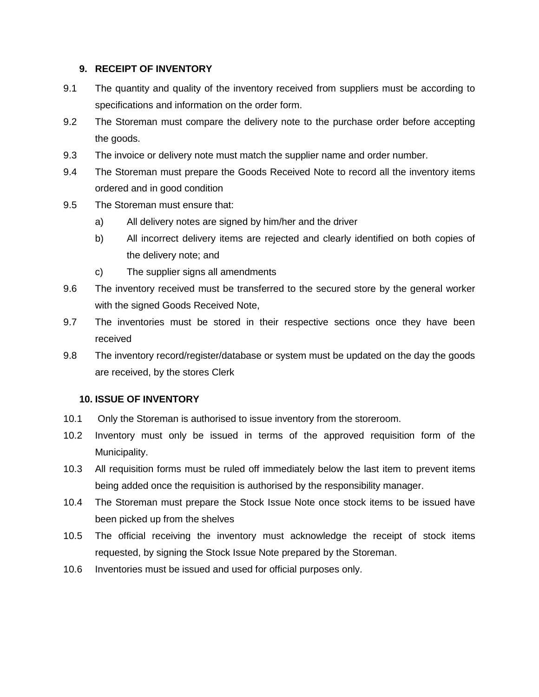#### **9. RECEIPT OF INVENTORY**

- 9.1 The quantity and quality of the inventory received from suppliers must be according to specifications and information on the order form.
- 9.2 The Storeman must compare the delivery note to the purchase order before accepting the goods.
- 9.3 The invoice or delivery note must match the supplier name and order number.
- 9.4 The Storeman must prepare the Goods Received Note to record all the inventory items ordered and in good condition
- 9.5 The Storeman must ensure that:
	- a) All delivery notes are signed by him/her and the driver
	- b) All incorrect delivery items are rejected and clearly identified on both copies of the delivery note; and
	- c) The supplier signs all amendments
- 9.6 The inventory received must be transferred to the secured store by the general worker with the signed Goods Received Note,
- 9.7 The inventories must be stored in their respective sections once they have been received
- 9.8 The inventory record/register/database or system must be updated on the day the goods are received, by the stores Clerk

#### **10. ISSUE OF INVENTORY**

- 10.1 Only the Storeman is authorised to issue inventory from the storeroom.
- 10.2 Inventory must only be issued in terms of the approved requisition form of the Municipality.
- 10.3 All requisition forms must be ruled off immediately below the last item to prevent items being added once the requisition is authorised by the responsibility manager.
- 10.4 The Storeman must prepare the Stock Issue Note once stock items to be issued have been picked up from the shelves
- 10.5 The official receiving the inventory must acknowledge the receipt of stock items requested, by signing the Stock Issue Note prepared by the Storeman.
- 10.6 Inventories must be issued and used for official purposes only.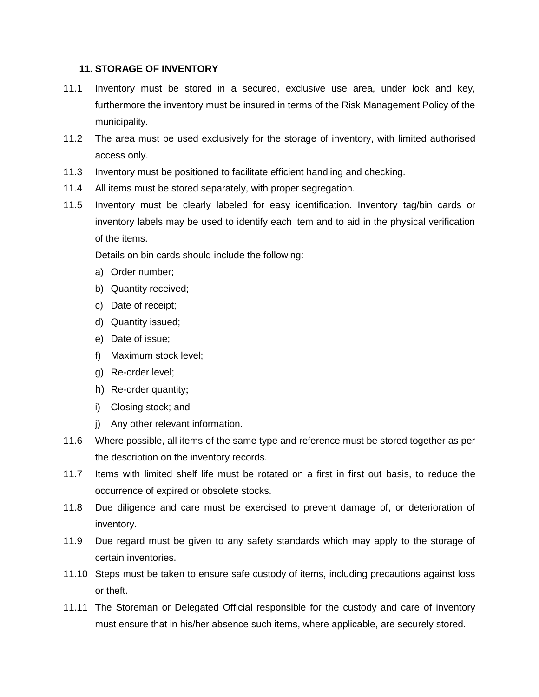#### **11. STORAGE OF INVENTORY**

- 11.1 Inventory must be stored in a secured, exclusive use area, under lock and key, furthermore the inventory must be insured in terms of the Risk Management Policy of the municipality.
- 11.2 The area must be used exclusively for the storage of inventory, with limited authorised access only.
- 11.3 Inventory must be positioned to facilitate efficient handling and checking.
- 11.4 All items must be stored separately, with proper segregation.
- 11.5 Inventory must be clearly labeled for easy identification. Inventory tag/bin cards or inventory labels may be used to identify each item and to aid in the physical verification of the items.

Details on bin cards should include the following:

- a) Order number;
- b) Quantity received;
- c) Date of receipt;
- d) Quantity issued;
- e) Date of issue;
- f) Maximum stock level;
- g) Re-order level;
- h) Re-order quantity;
- i) Closing stock; and
- j) Any other relevant information.
- 11.6 Where possible, all items of the same type and reference must be stored together as per the description on the inventory records.
- 11.7 Items with limited shelf life must be rotated on a first in first out basis, to reduce the occurrence of expired or obsolete stocks.
- 11.8 Due diligence and care must be exercised to prevent damage of, or deterioration of inventory.
- 11.9 Due regard must be given to any safety standards which may apply to the storage of certain inventories.
- 11.10 Steps must be taken to ensure safe custody of items, including precautions against loss or theft.
- 11.11 The Storeman or Delegated Official responsible for the custody and care of inventory must ensure that in his/her absence such items, where applicable, are securely stored.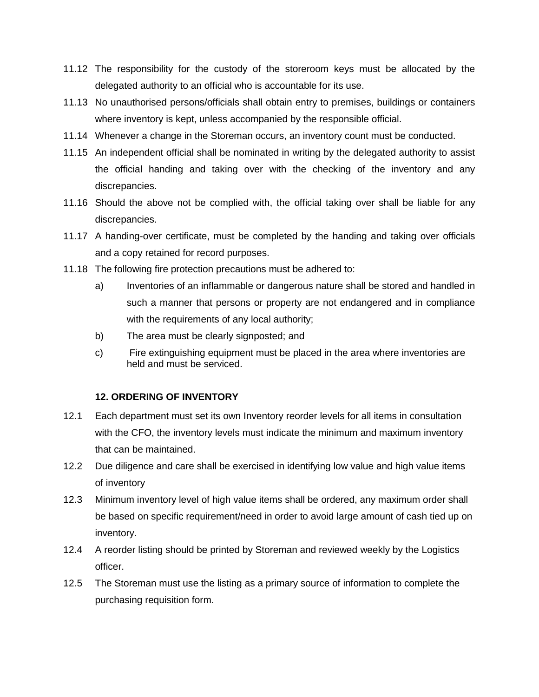- 11.12 The responsibility for the custody of the storeroom keys must be allocated by the delegated authority to an official who is accountable for its use.
- 11.13 No unauthorised persons/officials shall obtain entry to premises, buildings or containers where inventory is kept, unless accompanied by the responsible official.
- 11.14 Whenever a change in the Storeman occurs, an inventory count must be conducted.
- 11.15 An independent official shall be nominated in writing by the delegated authority to assist the official handing and taking over with the checking of the inventory and any discrepancies.
- 11.16 Should the above not be complied with, the official taking over shall be liable for any discrepancies.
- 11.17 A handing-over certificate, must be completed by the handing and taking over officials and a copy retained for record purposes.
- 11.18 The following fire protection precautions must be adhered to:
	- a) Inventories of an inflammable or dangerous nature shall be stored and handled in such a manner that persons or property are not endangered and in compliance with the requirements of any local authority;
	- b) The area must be clearly signposted; and
	- c) Fire extinguishing equipment must be placed in the area where inventories are held and must be serviced.

## **12. ORDERING OF INVENTORY**

- 12.1 Each department must set its own Inventory reorder levels for all items in consultation with the CFO, the inventory levels must indicate the minimum and maximum inventory that can be maintained.
- 12.2 Due diligence and care shall be exercised in identifying low value and high value items of inventory
- 12.3 Minimum inventory level of high value items shall be ordered, any maximum order shall be based on specific requirement/need in order to avoid large amount of cash tied up on inventory.
- 12.4 A reorder listing should be printed by Storeman and reviewed weekly by the Logistics officer.
- 12.5 The Storeman must use the listing as a primary source of information to complete the purchasing requisition form.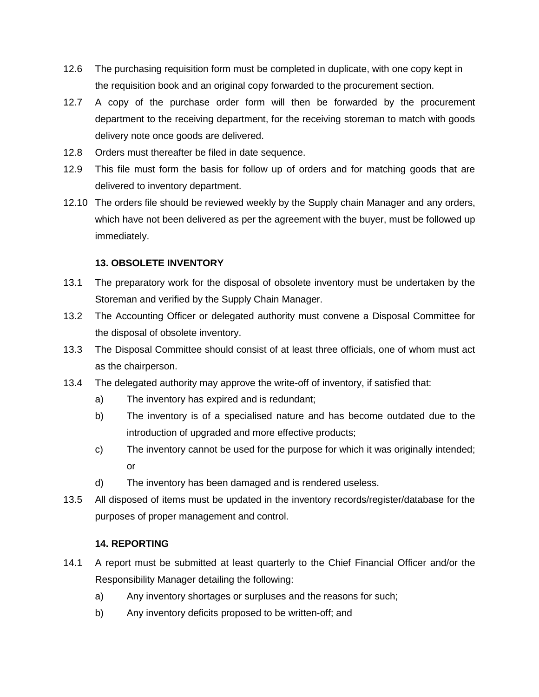- 12.6 The purchasing requisition form must be completed in duplicate, with one copy kept in the requisition book and an original copy forwarded to the procurement section.
- 12.7 A copy of the purchase order form will then be forwarded by the procurement department to the receiving department, for the receiving storeman to match with goods delivery note once goods are delivered.
- 12.8 Orders must thereafter be filed in date sequence.
- 12.9 This file must form the basis for follow up of orders and for matching goods that are delivered to inventory department.
- 12.10 The orders file should be reviewed weekly by the Supply chain Manager and any orders, which have not been delivered as per the agreement with the buyer, must be followed up immediately.

### **13. OBSOLETE INVENTORY**

- 13.1 The preparatory work for the disposal of obsolete inventory must be undertaken by the Storeman and verified by the Supply Chain Manager.
- 13.2 The Accounting Officer or delegated authority must convene a Disposal Committee for the disposal of obsolete inventory.
- 13.3 The Disposal Committee should consist of at least three officials, one of whom must act as the chairperson.
- 13.4 The delegated authority may approve the write-off of inventory, if satisfied that:
	- a) The inventory has expired and is redundant;
	- b) The inventory is of a specialised nature and has become outdated due to the introduction of upgraded and more effective products;
	- c) The inventory cannot be used for the purpose for which it was originally intended; or
	- d) The inventory has been damaged and is rendered useless.
- 13.5 All disposed of items must be updated in the inventory records/register/database for the purposes of proper management and control.

#### **14. REPORTING**

- 14.1 A report must be submitted at least quarterly to the Chief Financial Officer and/or the Responsibility Manager detailing the following:
	- a) Any inventory shortages or surpluses and the reasons for such;
	- b) Any inventory deficits proposed to be written-off; and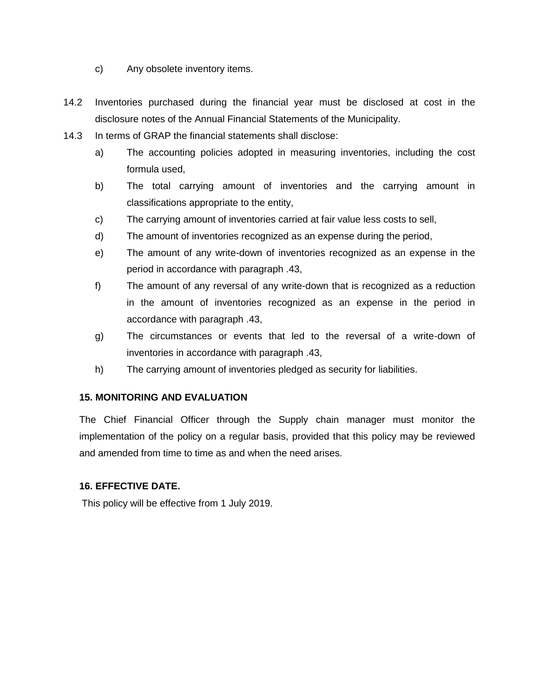- c) Any obsolete inventory items.
- 14.2 Inventories purchased during the financial year must be disclosed at cost in the disclosure notes of the Annual Financial Statements of the Municipality.
- 14.3 In terms of GRAP the financial statements shall disclose:
	- a) The accounting policies adopted in measuring inventories, including the cost formula used,
	- b) The total carrying amount of inventories and the carrying amount in classifications appropriate to the entity,
	- c) The carrying amount of inventories carried at fair value less costs to sell,
	- d) The amount of inventories recognized as an expense during the period,
	- e) The amount of any write-down of inventories recognized as an expense in the period in accordance with paragraph .43,
	- f) The amount of any reversal of any write-down that is recognized as a reduction in the amount of inventories recognized as an expense in the period in accordance with paragraph .43,
	- g) The circumstances or events that led to the reversal of a write-down of inventories in accordance with paragraph .43,
	- h) The carrying amount of inventories pledged as security for liabilities.

#### **15. MONITORING AND EVALUATION**

The Chief Financial Officer through the Supply chain manager must monitor the implementation of the policy on a regular basis, provided that this policy may be reviewed and amended from time to time as and when the need arises.

#### **16. EFFECTIVE DATE.**

This policy will be effective from 1 July 2019.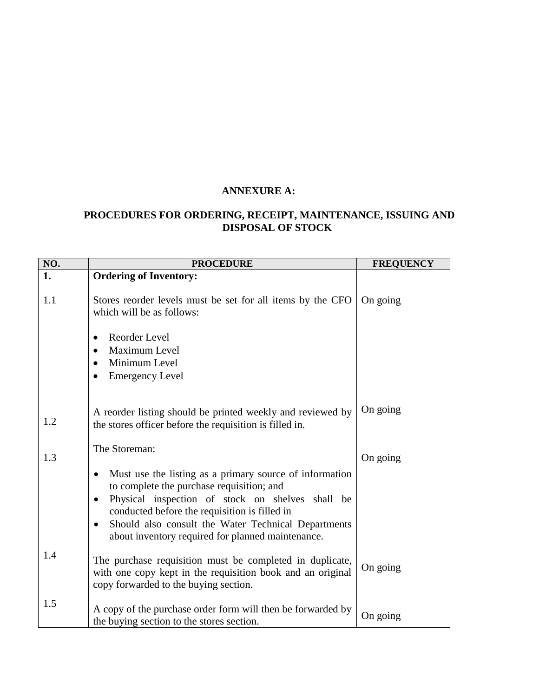# **ANNEXURE A:**

## **PROCEDURES FOR ORDERING, RECEIPT, MAINTENANCE, ISSUING AND DISPOSAL OF STOCK**

| NO. | <b>PROCEDURE</b>                                                                                                                                                                                                                                                                                                                                     | <b>FREQUENCY</b> |
|-----|------------------------------------------------------------------------------------------------------------------------------------------------------------------------------------------------------------------------------------------------------------------------------------------------------------------------------------------------------|------------------|
| 1.  | <b>Ordering of Inventory:</b>                                                                                                                                                                                                                                                                                                                        |                  |
| 1.1 | Stores reorder levels must be set for all items by the CFO<br>which will be as follows:                                                                                                                                                                                                                                                              | On going         |
|     | Reorder Level<br>٠<br>Maximum Level<br>٠<br>Minimum Level<br>$\bullet$<br><b>Emergency Level</b><br>٠                                                                                                                                                                                                                                                |                  |
| 1.2 | A reorder listing should be printed weekly and reviewed by<br>the stores officer before the requisition is filled in.                                                                                                                                                                                                                                | On going         |
| 1.3 | The Storeman:                                                                                                                                                                                                                                                                                                                                        | On going         |
|     | Must use the listing as a primary source of information<br>٠<br>to complete the purchase requisition; and<br>Physical inspection of stock on shelves shall be<br>$\bullet$<br>conducted before the requisition is filled in<br>Should also consult the Water Technical Departments<br>$\bullet$<br>about inventory required for planned maintenance. |                  |
| 1.4 | The purchase requisition must be completed in duplicate,<br>with one copy kept in the requisition book and an original<br>copy forwarded to the buying section.                                                                                                                                                                                      | On going         |
| 1.5 | A copy of the purchase order form will then be forwarded by<br>the buying section to the stores section.                                                                                                                                                                                                                                             | On going         |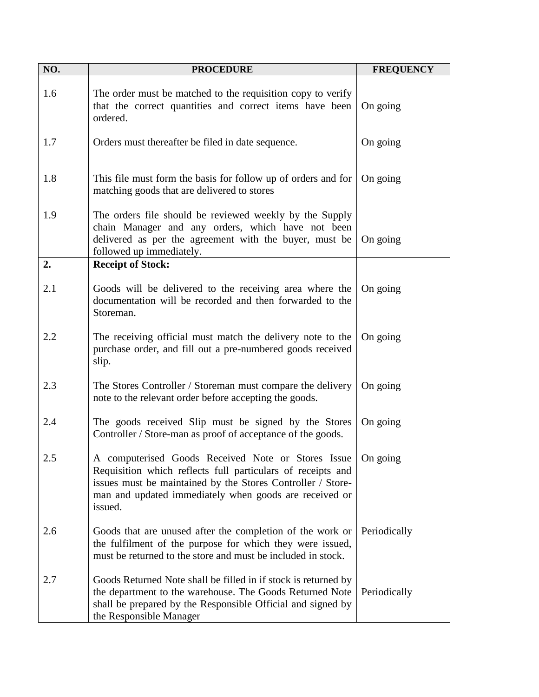| NO. | <b>PROCEDURE</b>                                                                                                                                                                                                                                                 | <b>FREQUENCY</b> |
|-----|------------------------------------------------------------------------------------------------------------------------------------------------------------------------------------------------------------------------------------------------------------------|------------------|
| 1.6 | The order must be matched to the requisition copy to verify<br>that the correct quantities and correct items have been<br>ordered.                                                                                                                               | On going         |
| 1.7 | Orders must thereafter be filed in date sequence.                                                                                                                                                                                                                | On going         |
| 1.8 | This file must form the basis for follow up of orders and for<br>matching goods that are delivered to stores                                                                                                                                                     | On going         |
| 1.9 | The orders file should be reviewed weekly by the Supply<br>chain Manager and any orders, which have not been<br>delivered as per the agreement with the buyer, must be<br>followed up immediately.                                                               | On going         |
| 2.  | <b>Receipt of Stock:</b>                                                                                                                                                                                                                                         |                  |
| 2.1 | Goods will be delivered to the receiving area where the<br>documentation will be recorded and then forwarded to the<br>Storeman.                                                                                                                                 | On going         |
| 2.2 | The receiving official must match the delivery note to the<br>purchase order, and fill out a pre-numbered goods received<br>slip.                                                                                                                                | On going         |
| 2.3 | The Stores Controller / Storeman must compare the delivery<br>note to the relevant order before accepting the goods.                                                                                                                                             | On going         |
| 2.4 | The goods received Slip must be signed by the Stores<br>Controller / Store-man as proof of acceptance of the goods.                                                                                                                                              | On going         |
| 2.5 | A computerised Goods Received Note or Stores Issue   On going<br>Requisition which reflects full particulars of receipts and<br>issues must be maintained by the Stores Controller / Store-<br>man and updated immediately when goods are received or<br>issued. |                  |
| 2.6 | Goods that are unused after the completion of the work or<br>the fulfilment of the purpose for which they were issued,<br>must be returned to the store and must be included in stock.                                                                           | Periodically     |
| 2.7 | Goods Returned Note shall be filled in if stock is returned by<br>the department to the warehouse. The Goods Returned Note<br>shall be prepared by the Responsible Official and signed by<br>the Responsible Manager                                             | Periodically     |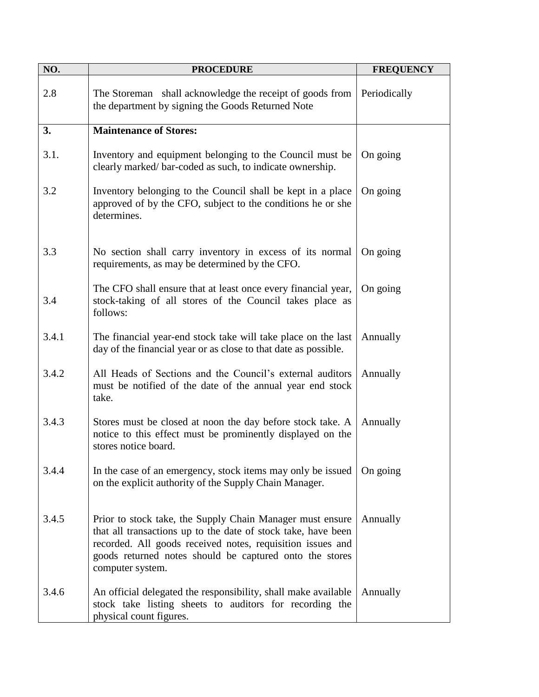| NO.   | <b>PROCEDURE</b>                                                                                                                                                                                                                                                        | <b>FREQUENCY</b> |
|-------|-------------------------------------------------------------------------------------------------------------------------------------------------------------------------------------------------------------------------------------------------------------------------|------------------|
| 2.8   | shall acknowledge the receipt of goods from<br>The Storeman<br>the department by signing the Goods Returned Note                                                                                                                                                        | Periodically     |
| 3.    | <b>Maintenance of Stores:</b>                                                                                                                                                                                                                                           |                  |
| 3.1.  | Inventory and equipment belonging to the Council must be<br>clearly marked/ bar-coded as such, to indicate ownership.                                                                                                                                                   | On going         |
| 3.2   | Inventory belonging to the Council shall be kept in a place<br>approved of by the CFO, subject to the conditions he or she<br>determines.                                                                                                                               | On going         |
| 3.3   | No section shall carry inventory in excess of its normal<br>requirements, as may be determined by the CFO.                                                                                                                                                              | On going         |
| 3.4   | The CFO shall ensure that at least once every financial year,<br>stock-taking of all stores of the Council takes place as<br>follows:                                                                                                                                   | On going         |
| 3.4.1 | The financial year-end stock take will take place on the last<br>day of the financial year or as close to that date as possible.                                                                                                                                        | Annually         |
| 3.4.2 | All Heads of Sections and the Council's external auditors<br>must be notified of the date of the annual year end stock<br>take.                                                                                                                                         | Annually         |
| 3.4.3 | Stores must be closed at noon the day before stock take. A<br>notice to this effect must be prominently displayed on the<br>stores notice board.                                                                                                                        | Annually         |
| 3.4.4 | In the case of an emergency, stock items may only be issued<br>on the explicit authority of the Supply Chain Manager.                                                                                                                                                   | On going         |
| 3.4.5 | Prior to stock take, the Supply Chain Manager must ensure<br>that all transactions up to the date of stock take, have been<br>recorded. All goods received notes, requisition issues and<br>goods returned notes should be captured onto the stores<br>computer system. | Annually         |
| 3.4.6 | An official delegated the responsibility, shall make available<br>stock take listing sheets to auditors for recording the<br>physical count figures.                                                                                                                    | Annually         |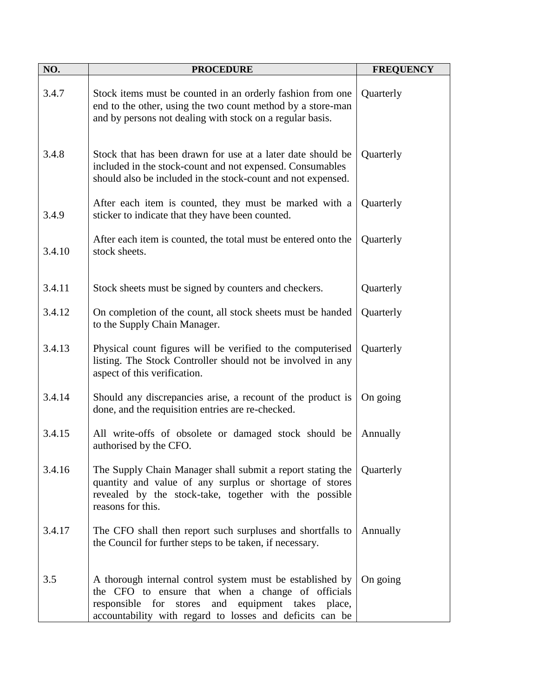| NO.    | <b>PROCEDURE</b>                                                                                                                                                                                                                      | <b>FREQUENCY</b> |
|--------|---------------------------------------------------------------------------------------------------------------------------------------------------------------------------------------------------------------------------------------|------------------|
| 3.4.7  | Stock items must be counted in an orderly fashion from one<br>end to the other, using the two count method by a store-man<br>and by persons not dealing with stock on a regular basis.                                                | Quarterly        |
| 3.4.8  | Stock that has been drawn for use at a later date should be<br>included in the stock-count and not expensed. Consumables<br>should also be included in the stock-count and not expensed.                                              | Quarterly        |
| 3.4.9  | After each item is counted, they must be marked with a<br>sticker to indicate that they have been counted.                                                                                                                            | Quarterly        |
| 3.4.10 | After each item is counted, the total must be entered onto the<br>stock sheets.                                                                                                                                                       | Quarterly        |
| 3.4.11 | Stock sheets must be signed by counters and checkers.                                                                                                                                                                                 | Quarterly        |
| 3.4.12 | On completion of the count, all stock sheets must be handed<br>to the Supply Chain Manager.                                                                                                                                           | Quarterly        |
| 3.4.13 | Physical count figures will be verified to the computerised<br>listing. The Stock Controller should not be involved in any<br>aspect of this verification.                                                                            | Quarterly        |
| 3.4.14 | Should any discrepancies arise, a recount of the product is<br>done, and the requisition entries are re-checked.                                                                                                                      | On going         |
| 3.4.15 | All write-offs of obsolete or damaged stock should be<br>authorised by the CFO.                                                                                                                                                       | Annually         |
| 3.4.16 | The Supply Chain Manager shall submit a report stating the<br>quantity and value of any surplus or shortage of stores<br>revealed by the stock-take, together with the possible<br>reasons for this.                                  | Quarterly        |
| 3.4.17 | The CFO shall then report such surpluses and shortfalls to<br>the Council for further steps to be taken, if necessary.                                                                                                                | Annually         |
| 3.5    | A thorough internal control system must be established by<br>the CFO to ensure that when a change of officials<br>and equipment takes place,<br>responsible for<br>stores<br>accountability with regard to losses and deficits can be | On going         |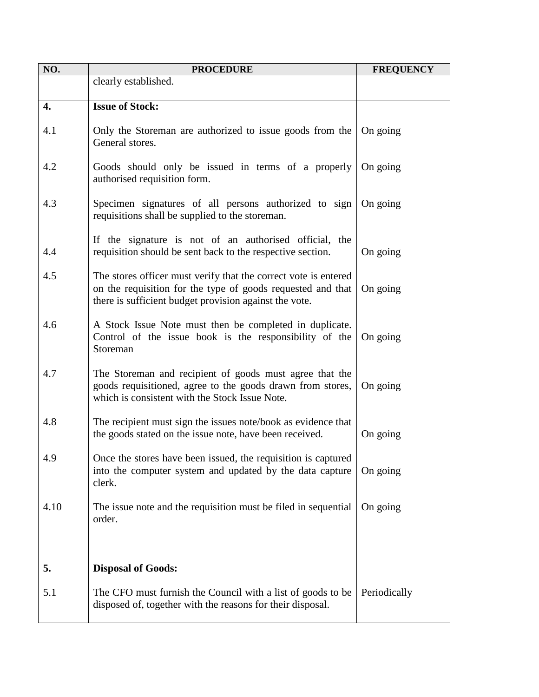| NO.  | <b>PROCEDURE</b>                                                                                                                                                                         | <b>FREQUENCY</b> |
|------|------------------------------------------------------------------------------------------------------------------------------------------------------------------------------------------|------------------|
|      | clearly established.                                                                                                                                                                     |                  |
| 4.   | <b>Issue of Stock:</b>                                                                                                                                                                   |                  |
| 4.1  | Only the Storeman are authorized to issue goods from the<br>General stores.                                                                                                              | On going         |
| 4.2  | Goods should only be issued in terms of a properly<br>authorised requisition form.                                                                                                       | On going         |
| 4.3  | Specimen signatures of all persons authorized to sign<br>requisitions shall be supplied to the storeman.                                                                                 | On going         |
| 4.4  | If the signature is not of an authorised official, the<br>requisition should be sent back to the respective section.                                                                     | On going         |
| 4.5  | The stores officer must verify that the correct vote is entered<br>on the requisition for the type of goods requested and that<br>there is sufficient budget provision against the vote. | On going         |
| 4.6  | A Stock Issue Note must then be completed in duplicate.<br>Control of the issue book is the responsibility of the<br>Storeman                                                            | On going         |
| 4.7  | The Storeman and recipient of goods must agree that the<br>goods requisitioned, agree to the goods drawn from stores,<br>which is consistent with the Stock Issue Note.                  | On going         |
| 4.8  | The recipient must sign the issues note/book as evidence that<br>the goods stated on the issue note, have been received.                                                                 | On going         |
| 4.9  | Once the stores have been issued, the requisition is captured<br>into the computer system and updated by the data capture<br>clerk.                                                      | On going         |
| 4.10 | The issue note and the requisition must be filed in sequential<br>order.                                                                                                                 | On going         |
|      |                                                                                                                                                                                          |                  |
| 5.   | <b>Disposal of Goods:</b>                                                                                                                                                                |                  |
| 5.1  | The CFO must furnish the Council with a list of goods to be<br>disposed of, together with the reasons for their disposal.                                                                | Periodically     |